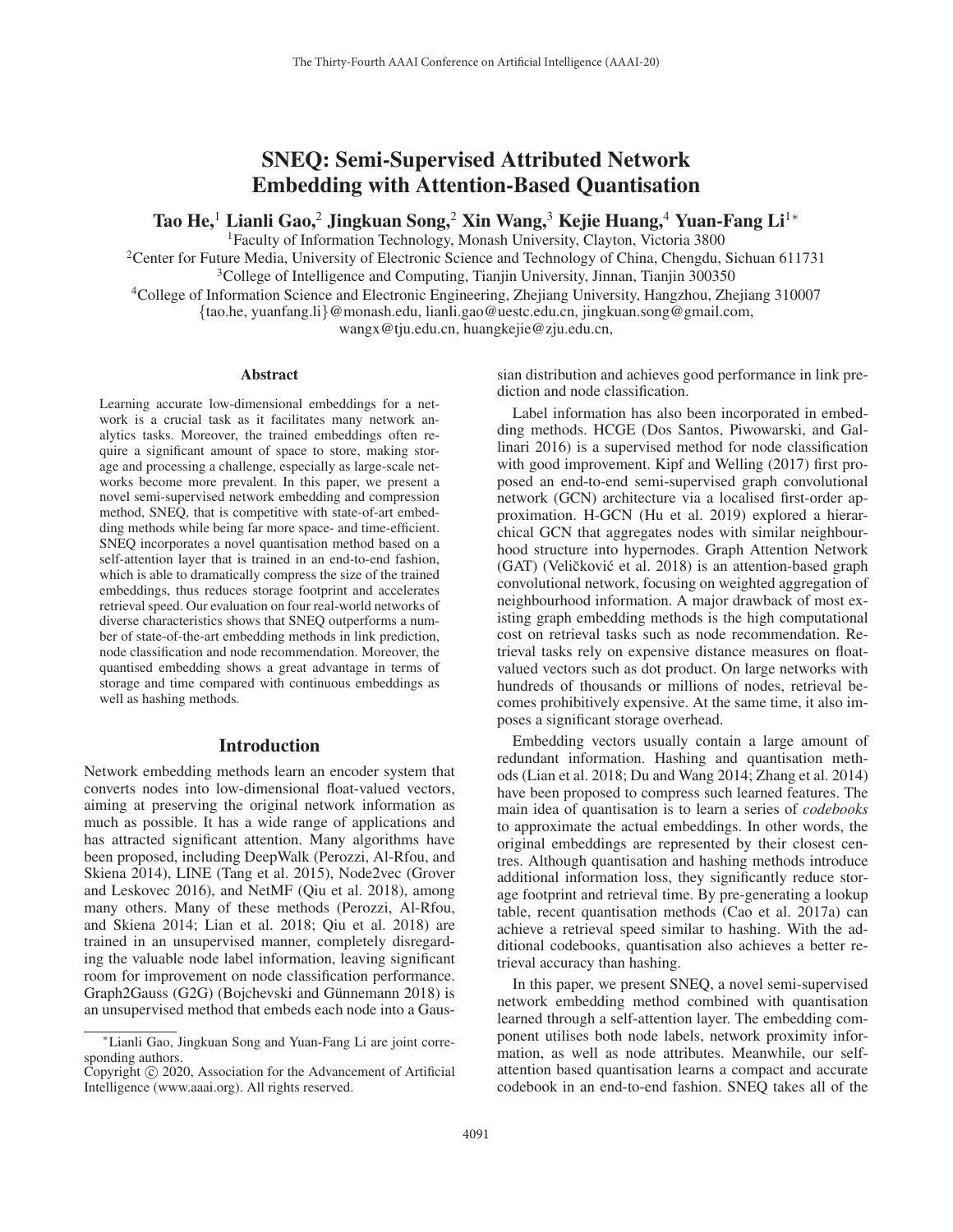# SNEQ: Semi-Supervised Attributed Network Embedding with Attention-Based Quantisation

Tao He,<sup>1</sup> Lianli Gao,<sup>2</sup> Jingkuan Song,<sup>2</sup> Xin Wang,<sup>3</sup> Kejie Huang,<sup>4</sup> Yuan-Fang Li<sup>1</sup><sup>∗</sup>

1Faculty of Information Technology, Monash University, Clayton, Victoria 3800

<sup>2</sup>Center for Future Media, University of Electronic Science and Technology of China, Chengdu, Sichuan 611731

<sup>3</sup>College of Intelligence and Computing, Tianjin University, Jinnan, Tianjin 300350

4College of Information Science and Electronic Engineering, Zhejiang University, Hangzhou, Zhejiang 310007

{tao.he, yuanfang.li}@monash.edu, lianli.gao@uestc.edu.cn, jingkuan.song@gmail.com,

wangx@tju.edu.cn, huangkejie@zju.edu.cn,

#### Abstract

Learning accurate low-dimensional embeddings for a network is a crucial task as it facilitates many network analytics tasks. Moreover, the trained embeddings often require a significant amount of space to store, making storage and processing a challenge, especially as large-scale networks become more prevalent. In this paper, we present a novel semi-supervised network embedding and compression method, SNEQ, that is competitive with state-of-art embedding methods while being far more space- and time-efficient. SNEQ incorporates a novel quantisation method based on a self-attention layer that is trained in an end-to-end fashion, which is able to dramatically compress the size of the trained embeddings, thus reduces storage footprint and accelerates retrieval speed. Our evaluation on four real-world networks of diverse characteristics shows that SNEQ outperforms a number of state-of-the-art embedding methods in link prediction, node classification and node recommendation. Moreover, the quantised embedding shows a great advantage in terms of storage and time compared with continuous embeddings as well as hashing methods.

# Introduction

Network embedding methods learn an encoder system that converts nodes into low-dimensional float-valued vectors, aiming at preserving the original network information as much as possible. It has a wide range of applications and has attracted significant attention. Many algorithms have been proposed, including DeepWalk (Perozzi, Al-Rfou, and Skiena 2014), LINE (Tang et al. 2015), Node2vec (Grover and Leskovec 2016), and NetMF (Qiu et al. 2018), among many others. Many of these methods (Perozzi, Al-Rfou, and Skiena 2014; Lian et al. 2018; Qiu et al. 2018) are trained in an unsupervised manner, completely disregarding the valuable node label information, leaving significant room for improvement on node classification performance. Graph2Gauss (G2G) (Bojchevski and Günnemann 2018) is an unsupervised method that embeds each node into a Gaus-

sian distribution and achieves good performance in link prediction and node classification.

Label information has also been incorporated in embedding methods. HCGE (Dos Santos, Piwowarski, and Gallinari 2016) is a supervised method for node classification with good improvement. Kipf and Welling (2017) first proposed an end-to-end semi-supervised graph convolutional network (GCN) architecture via a localised first-order approximation. H-GCN (Hu et al. 2019) explored a hierarchical GCN that aggregates nodes with similar neighbourhood structure into hypernodes. Graph Attention Network  $(GAT)$  (Veličković et al. 2018) is an attention-based graph convolutional network, focusing on weighted aggregation of neighbourhood information. A major drawback of most existing graph embedding methods is the high computational cost on retrieval tasks such as node recommendation. Retrieval tasks rely on expensive distance measures on floatvalued vectors such as dot product. On large networks with hundreds of thousands or millions of nodes, retrieval becomes prohibitively expensive. At the same time, it also imposes a significant storage overhead.

Embedding vectors usually contain a large amount of redundant information. Hashing and quantisation methods (Lian et al. 2018; Du and Wang 2014; Zhang et al. 2014) have been proposed to compress such learned features. The main idea of quantisation is to learn a series of *codebooks* to approximate the actual embeddings. In other words, the original embeddings are represented by their closest centres. Although quantisation and hashing methods introduce additional information loss, they significantly reduce storage footprint and retrieval time. By pre-generating a lookup table, recent quantisation methods (Cao et al. 2017a) can achieve a retrieval speed similar to hashing. With the additional codebooks, quantisation also achieves a better retrieval accuracy than hashing.

In this paper, we present SNEQ, a novel semi-supervised network embedding method combined with quantisation learned through a self-attention layer. The embedding component utilises both node labels, network proximity information, as well as node attributes. Meanwhile, our selfattention based quantisation learns a compact and accurate codebook in an end-to-end fashion. SNEQ takes all of the

<sup>∗</sup>Lianli Gao, Jingkuan Song and Yuan-Fang Li are joint corresponding authors.

Copyright  $\odot$  2020, Association for the Advancement of Artificial Intelligence (www.aaai.org). All rights reserved.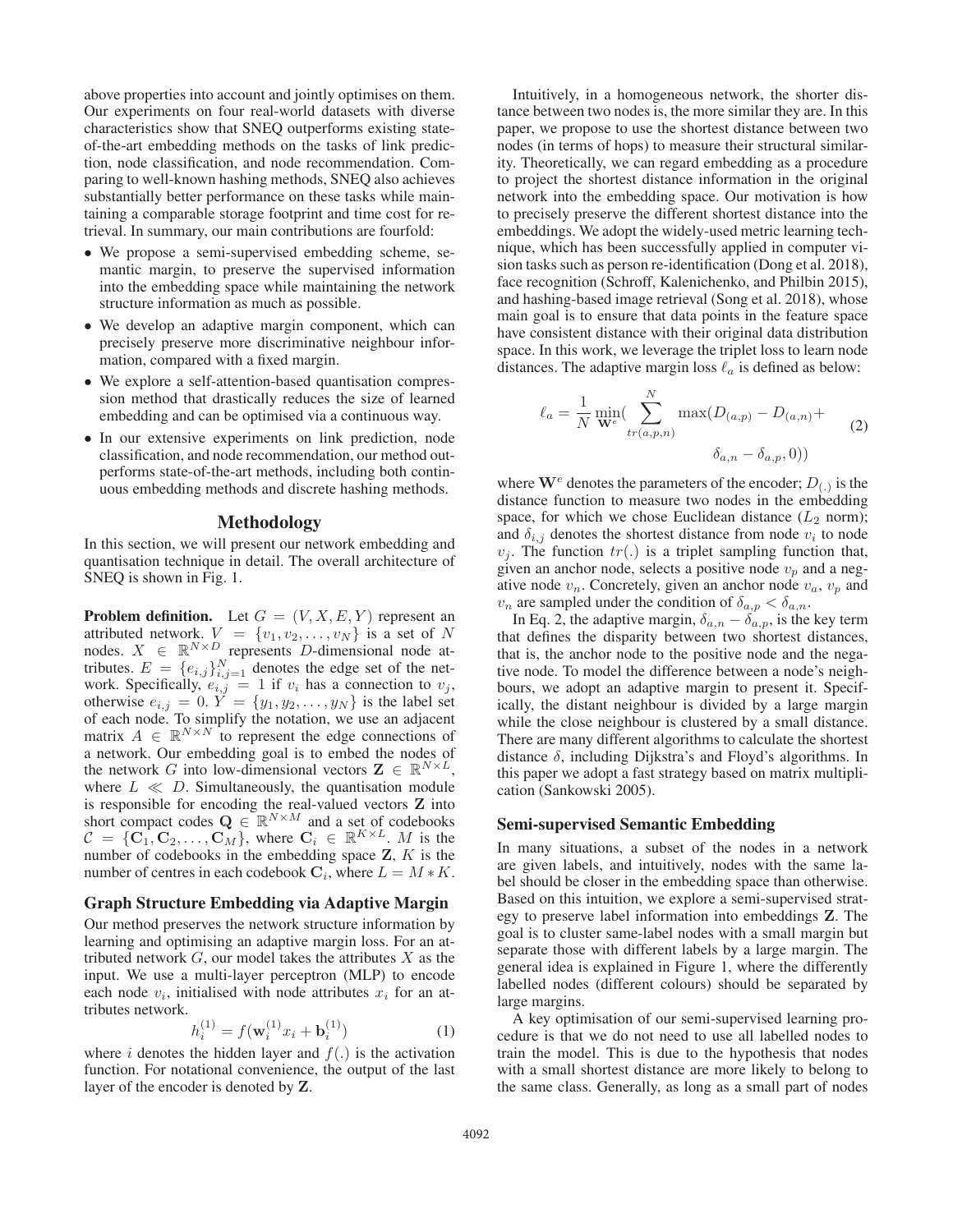above properties into account and jointly optimises on them. Our experiments on four real-world datasets with diverse characteristics show that SNEQ outperforms existing stateof-the-art embedding methods on the tasks of link prediction, node classification, and node recommendation. Comparing to well-known hashing methods, SNEQ also achieves substantially better performance on these tasks while maintaining a comparable storage footprint and time cost for retrieval. In summary, our main contributions are fourfold:

- We propose a semi-supervised embedding scheme, semantic margin, to preserve the supervised information into the embedding space while maintaining the network structure information as much as possible.
- We develop an adaptive margin component, which can precisely preserve more discriminative neighbour information, compared with a fixed margin.
- We explore a self-attention-based quantisation compression method that drastically reduces the size of learned embedding and can be optimised via a continuous way.
- In our extensive experiments on link prediction, node classification, and node recommendation, our method outperforms state-of-the-art methods, including both continuous embedding methods and discrete hashing methods.

# Methodology

In this section, we will present our network embedding and quantisation technique in detail. The overall architecture of SNEQ is shown in Fig. 1.

**Problem definition.** Let  $G = (V, X, E, Y)$  represent an attributed network  $V = \{v_1, v_2, \ldots, v_N\}$  is a set of N attributed network.  $V = \{v_1, v_2, \dots, v_N\}$  is a set of N nodes.  $X \in \mathbb{R}^{N \times D}$  represents D-dimensional node attributes.  $E = \{e_{i,j}\}_{i,j=1}^N$  denotes the edge set of the net-<br>work. Specifically  $e_{i,j} = 1$  if  $v_i$  has a connection to  $v_i$ . work. Specifically,  $e_{i,j} = 1$  if  $v_i$  has a connection to  $v_j$ ,<br>otherwise  $e_{i,j} = 0$ ,  $Y = \{y_1, y_2, \ldots, y_N\}$  is the label set otherwise  $e_{i,j} = 0$ .  $Y = \{y_1, y_2, \dots, y_N\}$  is the label set of each node. To simplify the notation we use an adiacent of each node. To simplify the notation, we use an adjacent matrix  $A \in \mathbb{R}^{N \times N}$  to represent the edge connections of a network. Our embedding goal is to embed the nodes of the network G into low-dimensional vectors  $\mathbf{Z} \in \mathbb{R}^{N \times L}$ , where  $L \ll D$ . Simultaneously, the quantisation module is responsible for encoding the real-valued vectors **Z** into short compact codes  $\mathbf{Q} \in \mathbb{R}^{N \times M}$  and a set of codebooks  $\mathcal{C} = \{C_1, C_2, \ldots, C_M\}$ , where  $C_i \in \mathbb{R}^{K \times L}$ . M is the number of codebooks in the embedding space Z. K is the number of codebooks in the embedding space **Z**, K is the number of centres in each codebook  $C_i$ , where  $L = M * K$ .

#### Graph Structure Embedding via Adaptive Margin

Our method preserves the network structure information by learning and optimising an adaptive margin loss. For an attributed network  $G$ , our model takes the attributes  $X$  as the input. We use a multi-layer perceptron (MLP) to encode each node  $v_i$ , initialised with node attributes  $x_i$  for an attributes network.

$$
h_i^{(1)} = f(\mathbf{w}_i^{(1)} x_i + \mathbf{b}_i^{(1)})
$$
(1)

where i denotes the hidden layer and  $f(.)$  is the activation<br>function. For notational convenience, the output of the last function. For notational convenience, the output of the last layer of the encoder is denoted by **Z**.

Intuitively, in a homogeneous network, the shorter distance between two nodes is, the more similar they are. In this paper, we propose to use the shortest distance between two nodes (in terms of hops) to measure their structural similarity. Theoretically, we can regard embedding as a procedure to project the shortest distance information in the original network into the embedding space. Our motivation is how to precisely preserve the different shortest distance into the embeddings. We adopt the widely-used metric learning technique, which has been successfully applied in computer vision tasks such as person re-identification (Dong et al. 2018), face recognition (Schroff, Kalenichenko, and Philbin 2015), and hashing-based image retrieval (Song et al. 2018), whose main goal is to ensure that data points in the feature space have consistent distance with their original data distribution space. In this work, we leverage the triplet loss to learn node distances. The adaptive margin loss  $\ell_a$  is defined as below:

$$
\ell_a = \frac{1}{N} \min_{\mathbf{W}^c} (\sum_{tr(a,p,n)}^N \max(D_{(a,p)} - D_{(a,n)} + \delta_{a,p}, 0))
$$
\n
$$
\delta_{a,n} - \delta_{a,p}, 0))
$$
\n(2)

where  $\mathbf{W}^e$  denotes the parameters of the encoder;  $D_{(.)}$  is the distance function to measure two nodes in the embedding space, for which we chose Euclidean distance  $(L_2 \text{ norm})$ ; and  $\delta_{i,j}$  denotes the shortest distance from node  $v_i$  to node  $v_j$ . The function  $tr(.)$  is a triplet sampling function that, given an anchor node, selects a positive node  $v_p$  and a negative node  $v_n$ . Concretely, given an anchor node  $v_a$ ,  $v_p$  and  $v_n$  are sampled under the condition of  $\delta_{a,p} < \delta_{a,n}$ .

In Eq. 2, the adaptive margin,  $\delta_{a,n} - \delta_{a,p}$ , is the key term that defines the disparity between two shortest distances, that is, the anchor node to the positive node and the negative node. To model the difference between a node's neighbours, we adopt an adaptive margin to present it. Specifically, the distant neighbour is divided by a large margin while the close neighbour is clustered by a small distance. There are many different algorithms to calculate the shortest distance  $\delta$ , including Dijkstra's and Floyd's algorithms. In this paper we adopt a fast strategy based on matrix multiplication (Sankowski 2005).

#### Semi-supervised Semantic Embedding

In many situations, a subset of the nodes in a network are given labels, and intuitively, nodes with the same label should be closer in the embedding space than otherwise. Based on this intuition, we explore a semi-supervised strategy to preserve label information into embeddings **Z**. The goal is to cluster same-label nodes with a small margin but separate those with different labels by a large margin. The general idea is explained in Figure 1, where the differently labelled nodes (different colours) should be separated by large margins.

A key optimisation of our semi-supervised learning procedure is that we do not need to use all labelled nodes to train the model. This is due to the hypothesis that nodes with a small shortest distance are more likely to belong to the same class. Generally, as long as a small part of nodes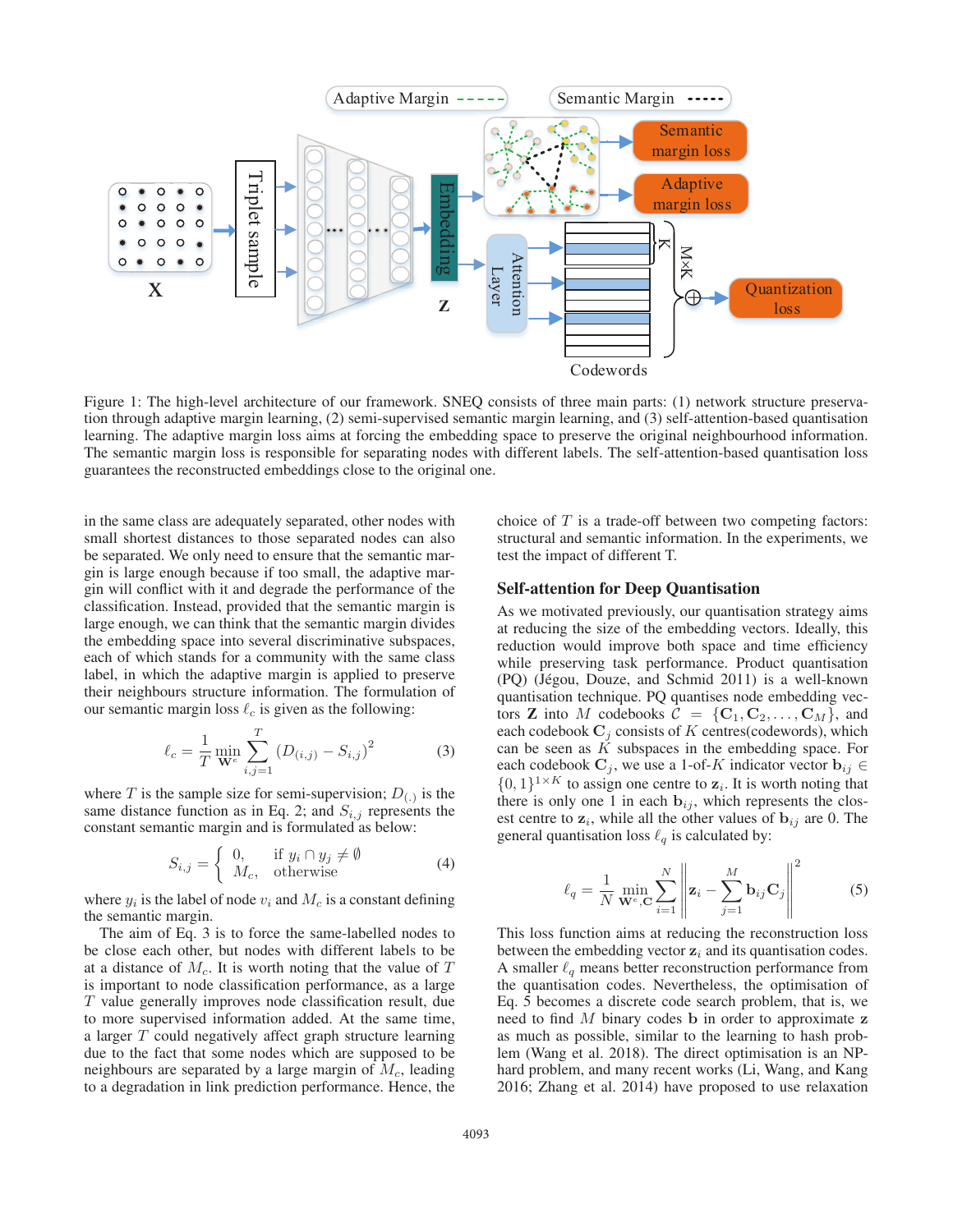

Figure 1: The high-level architecture of our framework. SNEQ consists of three main parts: (1) network structure preservation through adaptive margin learning, (2) semi-supervised semantic margin learning, and (3) self-attention-based quantisation learning. The adaptive margin loss aims at forcing the embedding space to preserve the original neighbourhood information. The semantic margin loss is responsible for separating nodes with different labels. The self-attention-based quantisation loss guarantees the reconstructed embeddings close to the original one.

in the same class are adequately separated, other nodes with small shortest distances to those separated nodes can also be separated. We only need to ensure that the semantic margin is large enough because if too small, the adaptive margin will conflict with it and degrade the performance of the classification. Instead, provided that the semantic margin is large enough, we can think that the semantic margin divides the embedding space into several discriminative subspaces, each of which stands for a community with the same class label, in which the adaptive margin is applied to preserve their neighbours structure information. The formulation of our semantic margin loss  $\ell_c$  is given as the following:

$$
\ell_c = \frac{1}{T} \min_{\mathbf{W}^e} \sum_{i,j=1}^T \left( D_{(i,j)} - S_{i,j} \right)^2 \tag{3}
$$

where T is the sample size for semi-supervision;  $D_{(.)}$  is the same distance function as in Eq. 2; and  $S_{i,j}$  represents the constant semantic margin and is formulated as below:

$$
S_{i,j} = \begin{cases} 0, & \text{if } y_i \cap y_j \neq \emptyset \\ M_c, & \text{otherwise} \end{cases}
$$
 (4)

where  $y_i$  is the label of node  $v_i$  and  $M_c$  is a constant defining the semantic margin.

The aim of Eq. 3 is to force the same-labelled nodes to be close each other, but nodes with different labels to be at a distance of  $M_c$ . It is worth noting that the value of  $T$ is important to node classification performance, as a large T value generally improves node classification result, due to more supervised information added. At the same time, a larger T could negatively affect graph structure learning due to the fact that some nodes which are supposed to be neighbours are separated by a large margin of  $M_c$ , leading to a degradation in link prediction performance. Hence, the

choice of  $T$  is a trade-off between two competing factors: structural and semantic information. In the experiments, we test the impact of different T.

# Self-attention for Deep Quantisation

As we motivated previously, our quantisation strategy aims at reducing the size of the embedding vectors. Ideally, this reduction would improve both space and time efficiency while preserving task performance. Product quantisation  $(PQ)$  (Jégou, Douze, and Schmid 2011) is a well-known quantisation technique. PQ quantises node embedding vectors **Z** into M codebooks  $\overline{C} = \{C_1, C_2, \ldots, C_M\}$ , and each codebook  $C_j$  consists of K centres(codewords), which can be seen as  $K$  subspaces in the embedding space. For each codebook  $C_j$ , we use a 1-of-K indicator vector  $\mathbf{b}_{ij} \in$  $\{0,1\}^{1 \times K}$  to assign one centre to  $z_i$ . It is worth noting that there is only one 1 in each **, which represents the clos**est centre to  $z_i$ , while all the other values of  $b_{ij}$  are 0. The general quantisation loss  $\ell_q$  is calculated by:

$$
\ell_q = \frac{1}{N} \min_{\mathbf{W}^e, \mathbf{C}} \sum_{i=1}^N \left\| \mathbf{z}_i - \sum_{j=1}^M \mathbf{b}_{ij} \mathbf{C}_j \right\|^2 \tag{5}
$$

This loss function aims at reducing the reconstruction loss between the embedding vector  $z_i$  and its quantisation codes. A smaller  $\ell_q$  means better reconstruction performance from the quantisation codes. Nevertheless, the optimisation of Eq. 5 becomes a discrete code search problem, that is, we need to find M binary codes **b** in order to approximate **z** as much as possible, similar to the learning to hash problem (Wang et al. 2018). The direct optimisation is an NPhard problem, and many recent works (Li, Wang, and Kang 2016; Zhang et al. 2014) have proposed to use relaxation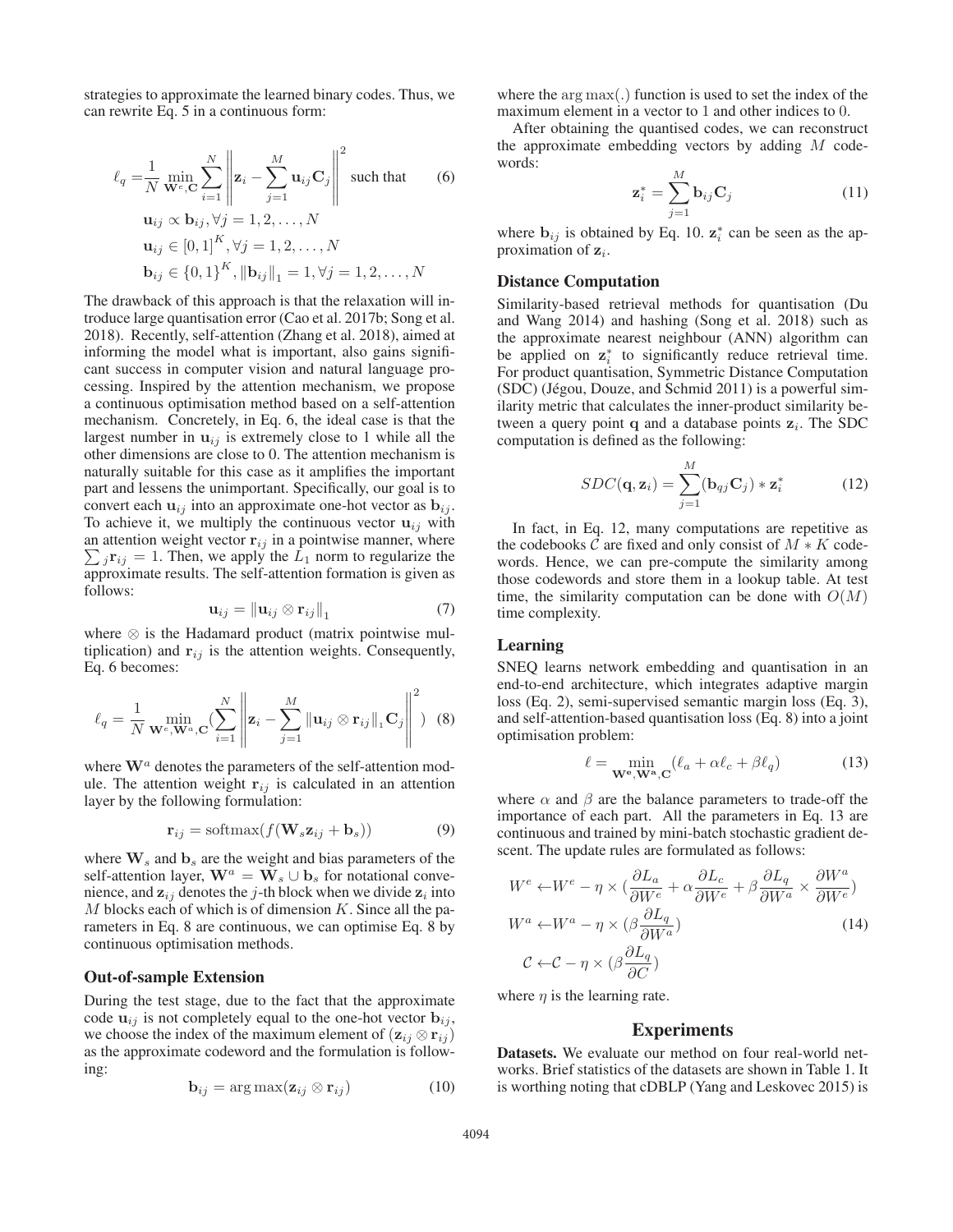strategies to approximate the learned binary codes. Thus, we can rewrite Eq. 5 in a continuous form:

$$
\ell_{q} = \frac{1}{N} \min_{\mathbf{W}^{e}, \mathbf{C}} \sum_{i=1}^{N} \left\| \mathbf{z}_{i} - \sum_{j=1}^{M} \mathbf{u}_{ij} \mathbf{C}_{j} \right\|^{2} \text{ such that } (6)
$$
  
\n
$$
\mathbf{u}_{ij} \propto \mathbf{b}_{ij}, \forall j = 1, 2, ..., N
$$
  
\n
$$
\mathbf{u}_{ij} \in [0, 1]^{K}, \forall j = 1, 2, ..., N
$$
  
\n
$$
\mathbf{b}_{ij} \in \{0, 1\}^{K}, \|\mathbf{b}_{ij}\|_{1} = 1, \forall j = 1, 2, ..., N
$$

The drawback of this approach is that the relaxation will introduce large quantisation error (Cao et al. 2017b; Song et al. 2018). Recently, self-attention (Zhang et al. 2018), aimed at informing the model what is important, also gains significant success in computer vision and natural language processing. Inspired by the attention mechanism, we propose a continuous optimisation method based on a self-attention mechanism. Concretely, in Eq. 6, the ideal case is that the largest number in  $\mathbf{u}_{ij}$  is extremely close to 1 while all the other dimensions are close to 0. The attention mechanism is naturally suitable for this case as it amplifies the important part and lessens the unimportant. Specifically, our goal is to convert each  $\mathbf{u}_{ij}$  into an approximate one-hot vector as  $\mathbf{b}_{ij}$ . To achieve it, we multiply the continuous vector  $\mathbf{u}_{ij}$  with  $\sum_j \mathbf{r}_{ij} = 1$ . Then, we apply the  $L_1$  norm to regularize the approximate results. The self-attention formation is given as an attention weight vector  $\mathbf{r}_{ij}$  in a pointwise manner, where approximate results. The self-attention formation is given as follows:

$$
\mathbf{u}_{ij} = \left\| \mathbf{u}_{ij} \otimes \mathbf{r}_{ij} \right\|_1 \tag{7}
$$

where ⊗ is the Hadamard product (matrix pointwise multiplication) and  $\mathbf{r}_{ij}$  is the attention weights. Consequently, Eq. 6 becomes:

$$
\ell_q = \frac{1}{N} \min_{\mathbf{W}^e, \mathbf{W}^a, \mathbf{C}} \left( \sum_{i=1}^N \left\| \mathbf{z}_i - \sum_{j=1}^M \|\mathbf{u}_{ij} \otimes \mathbf{r}_{ij}\|_1 \mathbf{C}_j \right\|^2 \right) \tag{8}
$$

where  $\mathbf{W}^{a}$  denotes the parameters of the self-attention module. The attention weight  $\mathbf{r}_{ij}$  is calculated in an attention layer by the following formulation:

$$
\mathbf{r}_{ij} = \text{softmax}(f(\mathbf{W}_s \mathbf{z}_{ij} + \mathbf{b}_s))
$$
(9)

where  $\mathbf{W}_s$  and  $\mathbf{b}_s$  are the weight and bias parameters of the self-attention layer,  $\mathbf{W}^a = \mathbf{W}_s \cup \mathbf{b}_s$  for notational convenience, and  $z_{ij}$  denotes the j-th block when we divide  $z_i$  into  $M$  blocks each of which is of dimension  $K$ . Since all the parameters in Eq. 8 are continuous, we can optimise Eq. 8 by continuous optimisation methods.

#### Out-of-sample Extension

During the test stage, due to the fact that the approximate code  $\mathbf{u}_{ij}$  is not completely equal to the one-hot vector  $\mathbf{b}_{ij}$ , we choose the index of the maximum element of  $(\mathbf{z}_{ij} \otimes \mathbf{r}_{ij})$ as the approximate codeword and the formulation is following:

$$
\mathbf{b}_{ij} = \arg \max(\mathbf{z}_{ij} \otimes \mathbf{r}_{ij}) \tag{10}
$$

where the arg max(.) function is used to set the index of the maximum element in a vector to 1 and other indices to 0.

After obtaining the quantised codes, we can reconstruct the approximate embedding vectors by adding  $M$  codewords:

$$
\mathbf{z}_{i}^{*} = \sum_{j=1}^{M} \mathbf{b}_{ij} \mathbf{C}_{j}
$$
 (11)

where  $\mathbf{b}_{ij}$  is obtained by Eq. 10.  $\mathbf{z}_i^*$  can be seen as the approximation of  $z_i$ .

# Distance Computation

Similarity-based retrieval methods for quantisation (Du and Wang 2014) and hashing (Song et al. 2018) such as the approximate nearest neighbour (ANN) algorithm can be applied on  $z_i^*$  to significantly reduce retrieval time. For product quantisation, Symmetric Distance Computation  $(SDC)$  (Jégou, Douze, and Schmid 2011) is a powerful similarity metric that calculates the inner-product similarity between a query point **q** and a database points  $z_i$ . The SDC computation is defined as the following:

$$
SDC(\mathbf{q}, \mathbf{z}_i) = \sum_{j=1}^{M} (\mathbf{b}_{qj} \mathbf{C}_j) * \mathbf{z}_i^*
$$
(12)

In fact, in Eq. 12, many computations are repetitive as the codebooks C are fixed and only consist of  $M \ast K$  codewords. Hence, we can pre-compute the similarity among those codewords and store them in a lookup table. At test time, the similarity computation can be done with  $O(M)$ time complexity.

#### Learning

SNEQ learns network embedding and quantisation in an end-to-end architecture, which integrates adaptive margin loss (Eq. 2), semi-supervised semantic margin loss (Eq. 3), and self-attention-based quantisation loss (Eq. 8) into a joint optimisation problem:

$$
\ell = \min_{\mathbf{W}^{\mathbf{e}}, \mathbf{W}^{\mathbf{a}}, \mathbf{C}} (\ell_a + \alpha \ell_c + \beta \ell_q)
$$
 (13)

where  $\alpha$  and  $\beta$  are the balance parameters to trade-off the importance of each part. All the parameters in Eq. 13 are continuous and trained by mini-batch stochastic gradient descent. The update rules are formulated as follows:

$$
W^{e} \leftarrow W^{e} - \eta \times \left(\frac{\partial L_{a}}{\partial W^{e}} + \alpha \frac{\partial L_{c}}{\partial W^{e}} + \beta \frac{\partial L_{q}}{\partial W^{a}} \times \frac{\partial W^{a}}{\partial W^{e}}\right)
$$
  

$$
W^{a} \leftarrow W^{a} - \eta \times \left(\beta \frac{\partial L_{q}}{\partial W^{a}}\right)
$$
  

$$
\mathcal{C} \leftarrow \mathcal{C} - \eta \times \left(\beta \frac{\partial L_{q}}{\partial C}\right)
$$
 (14)

where  $\eta$  is the learning rate.

# **Experiments**

Datasets. We evaluate our method on four real-world networks. Brief statistics of the datasets are shown in Table 1. It is worthing noting that cDBLP (Yang and Leskovec 2015) is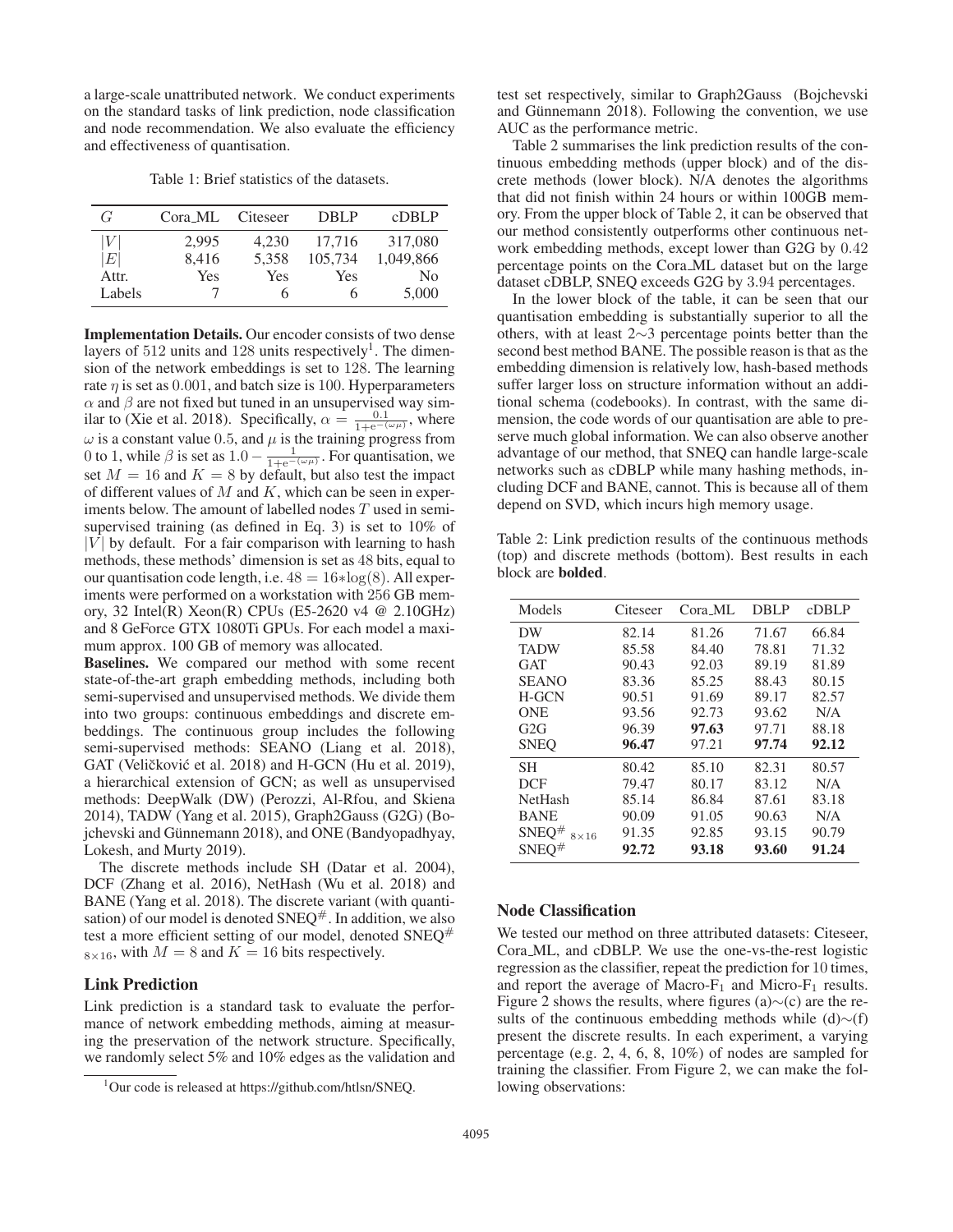a large-scale unattributed network. We conduct experiments on the standard tasks of link prediction, node classification and node recommendation. We also evaluate the efficiency and effectiveness of quantisation.

Table 1: Brief statistics of the datasets.

| G                | Cora_ML | Citeseer | <b>DBLP</b>  | cDBLP          |
|------------------|---------|----------|--------------|----------------|
| V                | 2.995   | 4.230    | 17.716       | 317,080        |
| $\left E\right $ | 8,416   | 5.358    | 105.734      | 1,049,866      |
| Attr.            | Yes     | Yes      | Yes          | N <sub>0</sub> |
| Labels           |         | h        | <sub>(</sub> | 5,000          |

Implementation Details. Our encoder consists of two dense layers of  $512$  units and  $128$  units respectively<sup>1</sup>. The dimension of the network embeddings is set to 128. The learning rate  $\eta$  is set as 0.001, and batch size is 100. Hyperparameters  $\alpha$  and  $\beta$  are not fixed but tuned in an unsupervised way similar to (Xie et al. 2018). Specifically,  $\alpha = \frac{0.1}{1 + e^{-(\omega \mu)}}$ , where  $\omega$  is a constant value 0.5, and  $\mu$  is the training progress from<br>0 to 1 while  $\beta$  is set as 1 0 –  $\frac{1}{\sqrt{1-\lambda}}$  For quantisation we 0 to 1, while  $\beta$  is set as  $1.0 - \frac{1}{1 + e^{-(\omega \mu)}}$ . For quantisation, we set  $M = 16$  and  $K = 8$  by default, but also test the impact set  $M = 16$  and  $K = 8$  by default, but also test the impact of different values of  $M$  and  $K$ , which can be seen in experiments below. The amount of labelled nodes T used in semisupervised training (as defined in Eq. 3) is set to 10% of  $|V|$  by default. For a fair comparison with learning to hash methods, these methods' dimension is set as 48 bits, equal to our quantisation code length, i.e.  $48 = 16 * \log(8)$ . All experiments were performed on a workstation with 256 GB memory, 32 Intel(R) Xeon(R) CPUs (E5-2620 v4 @ 2.10GHz) and 8 GeForce GTX 1080Ti GPUs. For each model a maximum approx. 100 GB of memory was allocated.

Baselines. We compared our method with some recent state-of-the-art graph embedding methods, including both semi-supervised and unsupervised methods. We divide them into two groups: continuous embeddings and discrete embeddings. The continuous group includes the following semi-supervised methods: SEANO (Liang et al. 2018), GAT (Veličković et al. 2018) and H-GCN (Hu et al. 2019), a hierarchical extension of GCN; as well as unsupervised methods: DeepWalk (DW) (Perozzi, Al-Rfou, and Skiena 2014), TADW (Yang et al. 2015), Graph2Gauss (G2G) (Bojchevski and Günnemann 2018), and ONE (Bandyopadhyay, Lokesh, and Murty 2019).

The discrete methods include SH (Datar et al. 2004), DCF (Zhang et al. 2016), NetHash (Wu et al. 2018) and BANE (Yang et al. 2018). The discrete variant (with quantisation) of our model is denoted  $SNEQ^{\#}$ . In addition, we also test a more efficient setting of our model, denoted  $SNEQ^{\#}$  $8\times16$ , with  $M = 8$  and  $K = 16$  bits respectively.

# Link Prediction

Link prediction is a standard task to evaluate the performance of network embedding methods, aiming at measuring the preservation of the network structure. Specifically, we randomly select 5% and 10% edges as the validation and test set respectively, similar to Graph2Gauss (Bojchevski and Günnemann 2018). Following the convention, we use AUC as the performance metric.

Table 2 summarises the link prediction results of the continuous embedding methods (upper block) and of the discrete methods (lower block). N/A denotes the algorithms that did not finish within 24 hours or within 100GB memory. From the upper block of Table 2, it can be observed that our method consistently outperforms other continuous network embedding methods, except lower than G2G by 0.42 percentage points on the Cora ML dataset but on the large dataset cDBLP, SNEQ exceeds G2G by 3.94 percentages.

In the lower block of the table, it can be seen that our quantisation embedding is substantially superior to all the others, with at least 2∼3 percentage points better than the second best method BANE. The possible reason is that as the embedding dimension is relatively low, hash-based methods suffer larger loss on structure information without an additional schema (codebooks). In contrast, with the same dimension, the code words of our quantisation are able to preserve much global information. We can also observe another advantage of our method, that SNEQ can handle large-scale networks such as cDBLP while many hashing methods, including DCF and BANE, cannot. This is because all of them depend on SVD, which incurs high memory usage.

Table 2: Link prediction results of the continuous methods (top) and discrete methods (bottom). Best results in each block are bolded.

| Models                           | Citeseer | $C$ ora ML | DBLP  | $c$ DBLP |
|----------------------------------|----------|------------|-------|----------|
| DW                               | 82.14    | 81.26      | 71.67 | 66.84    |
| <b>TADW</b>                      | 85.58    | 84.40      | 78.81 | 71.32    |
| GAT                              | 90.43    | 92.03      | 89.19 | 81.89    |
| <b>SEANO</b>                     | 83.36    | 85.25      | 88.43 | 80.15    |
| <b>H-GCN</b>                     | 90.51    | 91.69      | 89.17 | 82.57    |
| <b>ONE</b>                       | 93.56    | 92.73      | 93.62 | N/A      |
| G2G                              | 96.39    | 97.63      | 97.71 | 88.18    |
| <b>SNEO</b>                      | 96.47    | 97.21      | 97.74 | 92.12    |
| <b>SH</b>                        | 80.42    | 85.10      | 82.31 | 80.57    |
| <b>DCF</b>                       | 79.47    | 80.17      | 83.12 | N/A      |
| <b>NetHash</b>                   | 85.14    | 86.84      | 87.61 | 83.18    |
| <b>BANE</b>                      | 90.09    | 91.05      | 90.63 | N/A      |
| SNEQ <sup>#</sup><br>$8\times16$ | 91.35    | 92.85      | 93.15 | 90.79    |
| SNEO#                            | 92.72    | 93.18      | 93.60 | 91.24    |

## Node Classification

We tested our method on three attributed datasets: Citeseer, Cora ML, and cDBLP. We use the one-vs-the-rest logistic regression as the classifier, repeat the prediction for 10 times, and report the average of Macro- $F_1$  and Micro- $F_1$  results. Figure 2 shows the results, where figures (a)∼(c) are the results of the continuous embedding methods while (d)∼(f) present the discrete results. In each experiment, a varying percentage (e.g. 2, 4, 6, 8, 10%) of nodes are sampled for training the classifier. From Figure 2, we can make the following observations:

<sup>&</sup>lt;sup>1</sup>Our code is released at https://github.com/htlsn/SNEQ.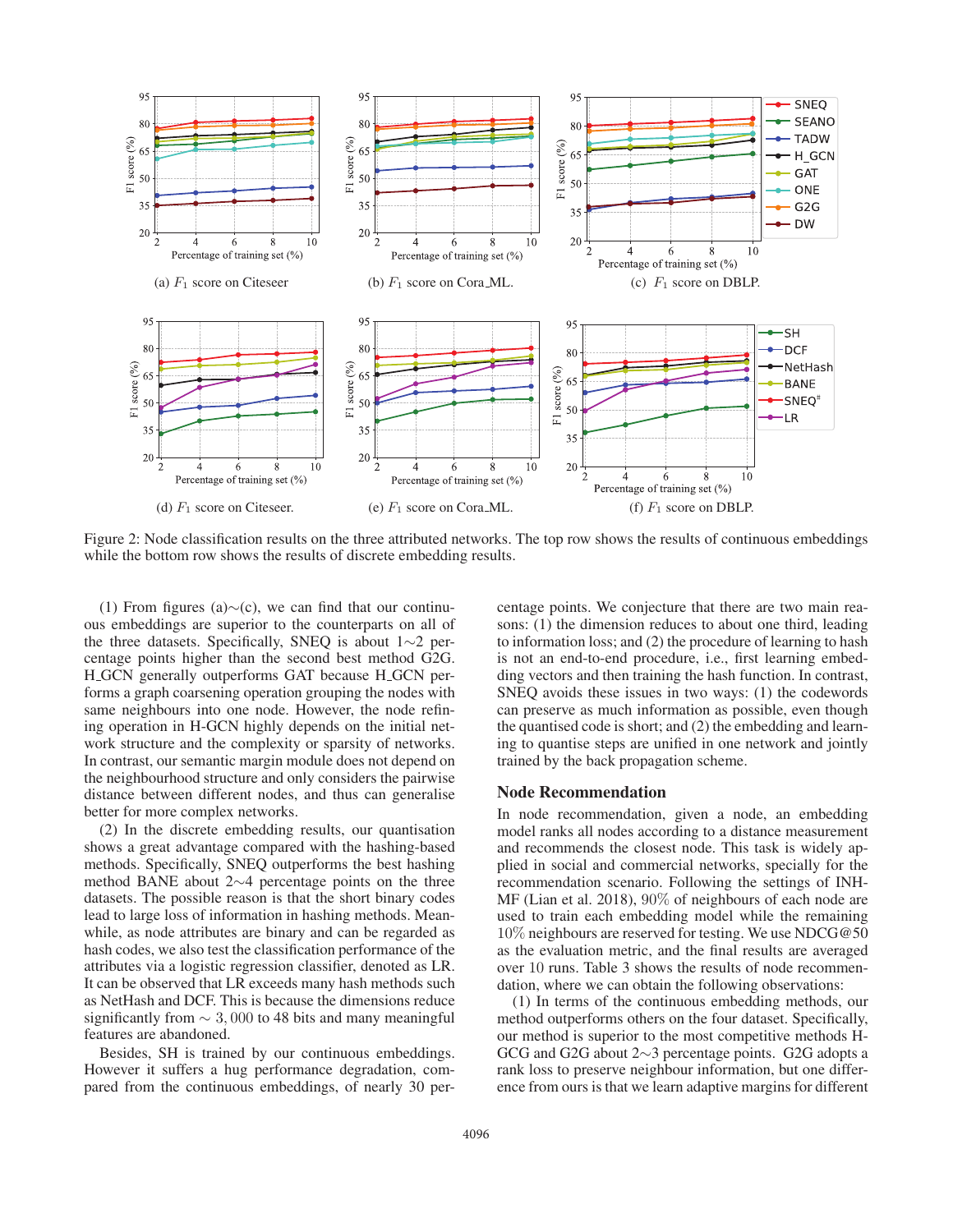

Figure 2: Node classification results on the three attributed networks. The top row shows the results of continuous embeddings while the bottom row shows the results of discrete embedding results.

(1) From figures (a)∼(c), we can find that our continuous embeddings are superior to the counterparts on all of the three datasets. Specifically, SNEQ is about 1∼2 percentage points higher than the second best method G2G. H\_GCN generally outperforms GAT because H\_GCN performs a graph coarsening operation grouping the nodes with same neighbours into one node. However, the node refining operation in H-GCN highly depends on the initial network structure and the complexity or sparsity of networks. In contrast, our semantic margin module does not depend on the neighbourhood structure and only considers the pairwise distance between different nodes, and thus can generalise better for more complex networks.

(2) In the discrete embedding results, our quantisation shows a great advantage compared with the hashing-based methods. Specifically, SNEQ outperforms the best hashing method BANE about 2∼4 percentage points on the three datasets. The possible reason is that the short binary codes lead to large loss of information in hashing methods. Meanwhile, as node attributes are binary and can be regarded as hash codes, we also test the classification performance of the attributes via a logistic regression classifier, denoted as LR. It can be observed that LR exceeds many hash methods such as NetHash and DCF. This is because the dimensions reduce significantly from  $\sim$  3,000 to 48 bits and many meaningful features are abandoned.

Besides, SH is trained by our continuous embeddings. However it suffers a hug performance degradation, compared from the continuous embeddings, of nearly 30 percentage points. We conjecture that there are two main reasons: (1) the dimension reduces to about one third, leading to information loss; and (2) the procedure of learning to hash is not an end-to-end procedure, i.e., first learning embedding vectors and then training the hash function. In contrast, SNEQ avoids these issues in two ways: (1) the codewords can preserve as much information as possible, even though the quantised code is short; and (2) the embedding and learning to quantise steps are unified in one network and jointly trained by the back propagation scheme.

# Node Recommendation

In node recommendation, given a node, an embedding model ranks all nodes according to a distance measurement and recommends the closest node. This task is widely applied in social and commercial networks, specially for the recommendation scenario. Following the settings of INH-MF (Lian et al. 2018), 90% of neighbours of each node are used to train each embedding model while the remaining 10% neighbours are reserved for testing. We use NDCG@50 as the evaluation metric, and the final results are averaged over 10 runs. Table 3 shows the results of node recommendation, where we can obtain the following observations:

(1) In terms of the continuous embedding methods, our method outperforms others on the four dataset. Specifically, our method is superior to the most competitive methods H-GCG and G2G about 2∼3 percentage points. G2G adopts a rank loss to preserve neighbour information, but one difference from ours is that we learn adaptive margins for different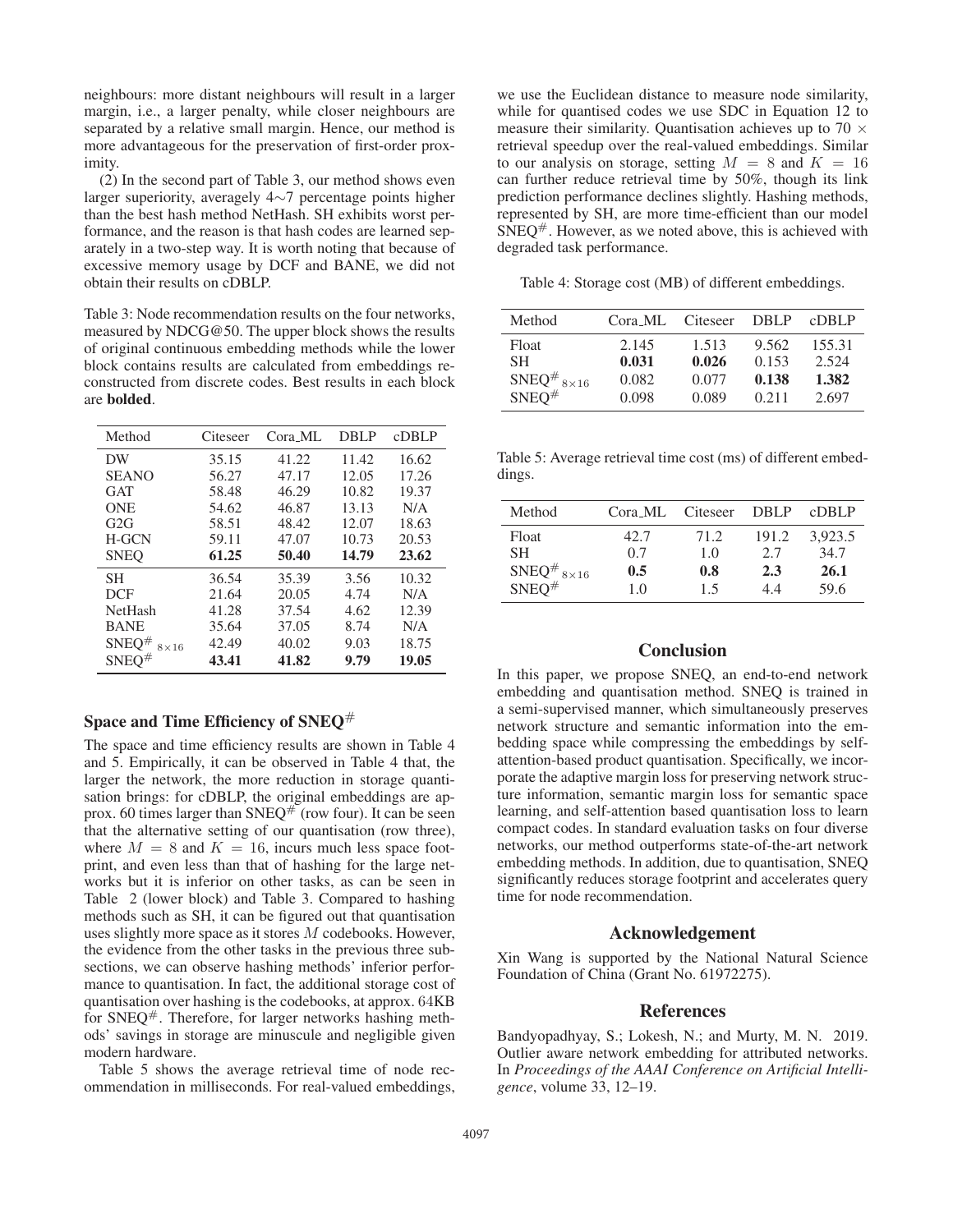neighbours: more distant neighbours will result in a larger margin, i.e., a larger penalty, while closer neighbours are separated by a relative small margin. Hence, our method is more advantageous for the preservation of first-order proximity.

(2) In the second part of Table 3, our method shows even larger superiority, averagely 4∼7 percentage points higher than the best hash method NetHash. SH exhibits worst performance, and the reason is that hash codes are learned separately in a two-step way. It is worth noting that because of excessive memory usage by DCF and BANE, we did not obtain their results on cDBLP.

Table 3: Node recommendation results on the four networks, measured by NDCG@50. The upper block shows the results of original continuous embedding methods while the lower block contains results are calculated from embeddings reconstructed from discrete codes. Best results in each block are bolded.

| Method                      | Citeseer | Cora ML | <b>DBLP</b> | <b>cDBLP</b> |
|-----------------------------|----------|---------|-------------|--------------|
| DW                          | 35.15    | 41.22   | 11.42       | 16.62        |
| <b>SEANO</b>                | 56.27    | 47.17   | 12.05       | 17.26        |
| <b>GAT</b>                  | 58.48    | 46.29   | 10.82       | 19.37        |
| <b>ONE</b>                  | 54.62    | 46.87   | 13.13       | N/A          |
| G2G                         | 58.51    | 48.42   | 12.07       | 18.63        |
| <b>H-GCN</b>                | 59.11    | 47.07   | 10.73       | 20.53        |
| <b>SNEO</b>                 | 61.25    | 50.40   | 14.79       | 23.62        |
| <b>SH</b>                   | 36.54    | 35.39   | 3.56        | 10.32        |
| <b>DCF</b>                  | 21.64    | 20.05   | 4.74        | N/A          |
| <b>NetHash</b>              | 41.28    | 37.54   | 4.62        | 12.39        |
| <b>BANE</b>                 | 35.64    | 37.05   | 8.74        | N/A          |
| $SNEQ^{\#}$<br>$8\times 16$ | 42.49    | 40.02   | 9.03        | 18.75        |
| $SNEQ^{\#}$                 | 43.41    | 41.82   | 9.79        | 19.05        |

# Space and Time Efficiency of SNEO#

The space and time efficiency results are shown in Table 4 and 5. Empirically, it can be observed in Table 4 that, the larger the network, the more reduction in storage quantisation brings: for cDBLP, the original embeddings are approx. 60 times larger than SNEQ<sup>#</sup> (row four). It can be seen that the alternative setting of our quantisation (row three), where  $M = 8$  and  $K = 16$ , incurs much less space footprint, and even less than that of hashing for the large networks but it is inferior on other tasks, as can be seen in Table 2 (lower block) and Table 3. Compared to hashing methods such as SH, it can be figured out that quantisation uses slightly more space as it stores M codebooks. However, the evidence from the other tasks in the previous three subsections, we can observe hashing methods' inferior performance to quantisation. In fact, the additional storage cost of quantisation over hashing is the codebooks, at approx. 64KB for  $SNEQ^{\#}$ . Therefore, for larger networks hashing methods' savings in storage are minuscule and negligible given modern hardware.

Table 5 shows the average retrieval time of node recommendation in milliseconds. For real-valued embeddings,

we use the Euclidean distance to measure node similarity, while for quantised codes we use SDC in Equation 12 to measure their similarity. Quantisation achieves up to 70  $\times$ retrieval speedup over the real-valued embeddings. Similar to our analysis on storage, setting  $M = 8$  and  $K = 16$ can further reduce retrieval time by 50%, though its link prediction performance declines slightly. Hashing methods, represented by SH, are more time-efficient than our model  $SNEQ^{\#}$ . However, as we noted above, this is achieved with degraded task performance.

Table 4: Storage cost (MB) of different embeddings.

| Method                                                                               | Cora ML | Citeseer | DBLP  | cDBLP  |
|--------------------------------------------------------------------------------------|---------|----------|-------|--------|
| Float                                                                                | 2.145   | 1.513    | 9.562 | 155.31 |
| SH.                                                                                  | 0.031   | 0.026    | 0.153 | 2.524  |
| $\begin{array}{l} {\rm SNEQ}^{\#} \, \rm 8 \times 16 \\ {\rm SNEQ}^{\#} \end{array}$ | 0.082   | 0.077    | 0.138 | 1.382  |
|                                                                                      | 0.098   | 0.089    | 0.211 | 2.697  |

Table 5: Average retrieval time cost (ms) of different embeddings.

| Method                        | Cora_ML | Citeseer | DBL P | cDBLP   |
|-------------------------------|---------|----------|-------|---------|
| Float                         | 42.7    | 71.2     | 191.2 | 3.923.5 |
| <b>SH</b>                     | 0.7     | 1.0      | 2.7   | 34.7    |
| SNEQ <sup>#</sup> $8\times16$ | 0.5     | 0.8      | 2.3   | 26.1    |
| $SNEO^{\#}$                   | 1.0     | 15       | 44    | 59.6    |

# **Conclusion**

In this paper, we propose SNEQ, an end-to-end network embedding and quantisation method. SNEQ is trained in a semi-supervised manner, which simultaneously preserves network structure and semantic information into the embedding space while compressing the embeddings by selfattention-based product quantisation. Specifically, we incorporate the adaptive margin loss for preserving network structure information, semantic margin loss for semantic space learning, and self-attention based quantisation loss to learn compact codes. In standard evaluation tasks on four diverse networks, our method outperforms state-of-the-art network embedding methods. In addition, due to quantisation, SNEQ significantly reduces storage footprint and accelerates query time for node recommendation.

# Acknowledgement

Xin Wang is supported by the National Natural Science Foundation of China (Grant No. 61972275).

# References

Bandyopadhyay, S.; Lokesh, N.; and Murty, M. N. 2019. Outlier aware network embedding for attributed networks. In *Proceedings of the AAAI Conference on Artificial Intelligence*, volume 33, 12–19.